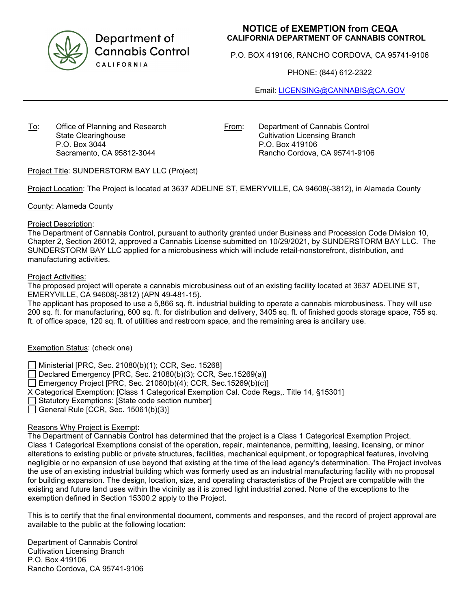

Department of **Cannabis Control** CALIFORNIA

# **NOTICE of EXEMPTION from CEQA CALIFORNIA DEPARTMENT OF CANNABIS CONTROL**

P.O. BOX 419106, RANCHO CORDOVA, CA 95741-9106

PHONE: (844) 612-2322

Email: [LICENSING@CANNABIS@CA.GOV](mailto:LICENSING@CANNABIS@CA.GOV)

To: Office of Planning and Research State Clearinghouse P.O. Box 3044 Sacramento, CA 95812-3044

From: Department of Cannabis Control Cultivation Licensing Branch P.O. Box 419106 Rancho Cordova, CA 95741-9106

Project Title: SUNDERSTORM BAY LLC (Project)

Project Location: The Project is located at 3637 ADELINE ST, EMERYVILLE, CA 94608(-3812), in Alameda County

County: Alameda County

### Project Description:

The Department of Cannabis Control, pursuant to authority granted under Business and Procession Code Division 10, Chapter 2, Section 26012, approved a Cannabis License submitted on 10/29/2021, by SUNDERSTORM BAY LLC. The SUNDERSTORM BAY LLC applied for a microbusiness which will include retail-nonstorefront, distribution, and manufacturing activities.

### Project Activities:

The proposed project will operate a cannabis microbusiness out of an existing facility located at 3637 ADELINE ST, EMERYVILLE, CA 94608(-3812) (APN 49-481-15).

The applicant has proposed to use a 5,866 sq. ft. industrial building to operate a cannabis microbusiness. They will use 200 sq. ft. for manufacturing, 600 sq. ft. for distribution and delivery, 3405 sq. ft. of finished goods storage space, 755 sq. ft. of office space, 120 sq. ft. of utilities and restroom space, and the remaining area is ancillary use.

# Exemption Status: (check one)

Ministerial [PRC, Sec. 21080(b)(1); CCR, Sec. 15268]

 $\Box$  Declared Emergency [PRC, Sec. 21080(b)(3); CCR, Sec.15269(a)]

Emergency Project [PRC, Sec. 21080(b)(4); CCR, Sec. 15269(b)(c)]

X Categorical Exemption: [Class 1 Categorical Exemption Cal. Code Regs,. Title 14, §15301]

Statutory Exemptions: [State code section number]

 $\Box$  General Rule [CCR, Sec. 15061(b)(3)]

# Reasons Why Project is Exempt:

The Department of Cannabis Control has determined that the project is a Class 1 Categorical Exemption Project. Class 1 Categorical Exemptions consist of the operation, repair, maintenance, permitting, leasing, licensing, or minor alterations to existing public or private structures, facilities, mechanical equipment, or topographical features, involving negligible or no expansion of use beyond that existing at the time of the lead agency's determination. The Project involves the use of an existing industrial building which was formerly used as an industrial manufacturing facility with no proposal for building expansion. The design, location, size, and operating characteristics of the Project are compatible with the existing and future land uses within the vicinity as it is zoned light industrial zoned. None of the exceptions to the exemption defined in Section 15300.2 apply to the Project.

This is to certify that the final environmental document, comments and responses, and the record of project approval are available to the public at the following location:

Department of Cannabis Control Cultivation Licensing Branch P.O. Box 419106 Rancho Cordova, CA 95741-9106